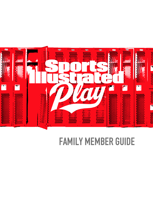

# FAMILY MEMBER GUIDE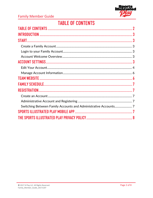

# **TABLE OF CONTENTS**

<span id="page-1-0"></span>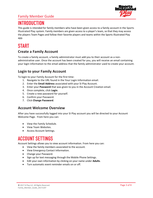# Family Member Guide



# <span id="page-2-0"></span>INTRODUCTION

This guide is intended for family members who have been given access to a family account in the Sports Illustrated Play system. Family members are given access to a player's team, so that they may access the players Team Pages and follow their favorite players and teams within the Sports Illustrated Play app.

# <span id="page-2-1"></span>START

### <span id="page-2-2"></span>**Create a Family Account**

To create a family account, a family administrator must add you to their account as a nonadministrative user. Once the account has been created for you, you will receive an email containing your login information to the email address that the family administrator used to create your account.

### <span id="page-2-3"></span>**Login to your Family Account**

To login to your Family Account for the first time:

- 1. Navigate to the URL found in the Your Login Information email.
- 2. Enter the **Email Address** associated with your SI Play Account.
- 3. Enter your **Password** that was given to you in the Account Creation email.
- 4. Once complete, click **Login**.
- 5. Create a new password for yourself.
- 6. Confirm your Password.
- 7. Click **Change Password**.

### <span id="page-2-4"></span>**Account Welcome Overview**

After you have successfully logged into your SI Play account you will be directed to your Account Welcome Page. From here you can:

- View the Family Schedule.
- View Team Websites.
- Access Account Settings.

# <span id="page-2-5"></span>ACCOUNT SETTINGS

Account Settings allows you to view account information. From here you can:

- View the family members associated to the account.
- View Emergency Contact Information.
- Change your Password.
- Sign up for text messaging through the Mobile Phone Settings.
- Edit your own information by clicking on your name under **Adults**.
- Turn automatic event reminder emails on or off.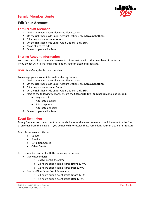### Family Member Guide



### <span id="page-3-0"></span>**Edit Your Account**

#### **Edit Account Member**

- 1. Navigate to your Sports Illustrated Play Account.
- 2. On the right-hand side under Account Options, click **Account Settings**.
- 3. Click on your name under **Adults.**
- 4. On the right-hand side under Adult Options, click, **Edit**.
- 5. Make all desired edits.
- 6. Once complete, click **Save**.

#### **Sharing Account Information**

You have the ability to securely share contact information with other members of the team. If you do not wish to share this information, you can disable this feature.

**NOTE:** By default, this feature is enabled.

To manage your account information sharing feature:

- 1. Navigate to your Sports Illustrated Play Account.
- 2. On the right-hand side under Account Options, click **Account Settings**.
- 3. Click on your name under "Adults".
- 4. On the right-hand side under Adult Options, click, **Edit**.
- 5. Next to the following sections, ensure the **Share with My Team** box is marked as desired:
	- Login email
	- Alternate email(s)
	- Primary phone
	- Alternate phone(s)
- 6. Once complete, click **Save**.

#### **Event Reminders**

Family Members on the account have the ability to receive event reminders, which are sent in the form of an email from the league. If you do not wish to receive these reminders, you can disable this feature.

Event Types are classified as:

- Games
- Practices
- Exhibition Games
- Other Events

Event reminders are sent with the following frequency:

- Game Reminders:
	- o 3 days before the game.
	- o 24 hours prior if game starts **before** 12PM.
	- o 12 hours prior if game starts **after** 12PM.
- Practice/Non-Game Event Reminders:
	- o 24 hours prior if event starts **before** 12PM.
	- o 12 hours prior if event starts **after** 12PM.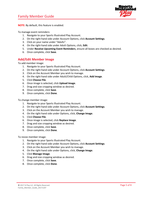

**NOTE:** By default, this feature is enabled.

To manage event reminders:

- 1. Navigate to your Sports Illustrated Play Account.
- 2. On the right-hand side under Account Options, click **Account Settings**.
- 3. Click on your name under "Adults".
- 4. On the right-hand side under Adult Options, click, **Edit**.
- 5. Under **Receive Upcoming Event Reminders**, ensure all boxes are checked as desired.
- 6. Once complete, click **Save**.

#### **Add/Edit Member Image**

To add member image:

- 1. Navigate to your Sports Illustrated Play Account.
- 2. On the right-hand side under Account Options, click **Account Settings**.
- 3. Click on the Account Member you wish to manage.
- 4. On the right-hand side under Adult/Child Options, click, **Add Image**.
- 5. Click **Choose File**.
- 6. Once image is selected, click **Upload Image**.
- 7. Drag and size cropping window as desired.
- 8. Once complete, click **Save**.
- 9. Once complete, click **Done**.

To change member image:

- 1. Navigate to your Sports Illustrated Play Account.
- 2. On the right-hand side under Account Options, click **Account Settings**.
- 3. Click on the Account Member you wish to manage.
- 4. On the right-hand side under Options, click, **Change Image**.
- 5. Click **Choose File**.
- 6. Once image is selected, click **Replace Image**.
- 7. Drag and size cropping window as desired.
- 8. Once complete, click **Save**.
- 9. Once complete, click **Done**.

To resize member image:

- 1. Navigate to your Sports Illustrated Play Account.
- 2. On the right-hand side under Account Options, click **Account Settings**.
- 3. Click on the Account Member you wish to manage.
- 4. On the right-hand side under Options, click, **Change Image**.
- 5. Click **Manage Image**.
- 6. Drag and size cropping window as desired.
- 7. Once complete, click **Save**.
- 8. Once complete, click **Done**.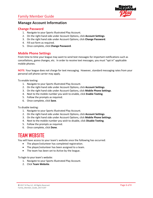

### <span id="page-5-0"></span>**Manage Account Information**

#### **Change Password**

- 1. Navigate to your Sports Illustrated Play Account.
- 2. On the right-hand side under Account Options, click **Account Settings**.
- 3. On the right hand side under Account Options, click **Change Password**.
- 4. Fill out form as required.
- 5. Once complete, click **Change Password**.

#### **Mobile Phone Settings**

From time to time your league may want to send text messages for important notifications such as cancellations, game changes, etc. In order to receive text messages, you must "opt in" applicable mobile phones.

**NOTE:** Your league does not charge for text messaging. However, standard messaging rates from your personal cell phone carrier may apply.

To enable texting:

- 1. Navigate to your Sports Illustrated Play Account.
- 2. On the right-hand side under Account Options, click **Account Settings**.
- 3. On the right hand side under Account Options, click **Mobile Phone Settings**.
- 4. Next to the mobile number you wish to enable, click **Enable Texting**.
- 5. Follow the prompts as required.
- 6. Once complete, click **Save**.

To disable texting:

- 1. Navigate to your Sports Illustrated Play Account.
- 2. On the right-hand side under Account Options, click **Account Settings**.
- 3. On the right hand side under Account Options, click **Mobile Phone Settings**.
- 4. Next to the mobile number you wish to disable, click **Disable Texting**.
- 5. Follow the prompts as required.
- 6. Once complete, click **Done**.

# <span id="page-5-1"></span>TEAM WEBSITE

You will have access to your team's website once the following has occurred:

- The player/volunteer has completed registration.
- The player/volunteer has been assigned to a team.
- The team has been set to Active by the league.

To login to your team's website:

- 1. Navigate to your Sports Illustrated Play Account.
- 2. Click **Team Website**.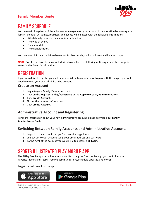# Family Member Guide



# <span id="page-6-0"></span>FAMILY SCHEDULE

You can easily keep track of the schedule for everyone on your account in one location by viewing your family schedule. All games, practices, and events will be listed with the following information:

- Which family member the event is scheduled for.
- The type of event.
- The event date.
- The event location.

You can also click on an individual event for further details, such as address and location maps.

**NOTE:** Events that have been cancelled will show in bold red lettering notifying you of the change in status in the Event Detail section.

# <span id="page-6-1"></span>**REGISTRATION**

If you would like to register yourself or your children to volunteer, or to play with the league, you will need to create your own administrative account.

### <span id="page-6-2"></span>**Create an Account**

- 1. Log in to your Family Member Account.
- 2. Click on the **Register to Play/Participate** or the **Apply to Coach/Volunteer** button.
- 3. Click **Create Account**.
- 4. Fill out the required information.
- 5. Click **Create Account**.

### <span id="page-6-3"></span>**Administrative Account and Registering**

For more information about your new administrative account, please download our **Family Administrator Guide**.

### <span id="page-6-4"></span>**Switching Between Family Accounts and Administrative Accounts**

- 1. Log out of the account that you're currently logged into.
- 2. Log back into your account using your email address and password.
- 3. To the right of the account you would like to access, click **Login**.

# <span id="page-6-5"></span>SPORTS ILLUSTRATED PLAY MOBILE APP

The SIPlay Mobile App simplifies your sports life. Using the free mobile app, you can follow your Favorite Players and Teams; receive communications, schedule updates, and more!

To get started, download the app: